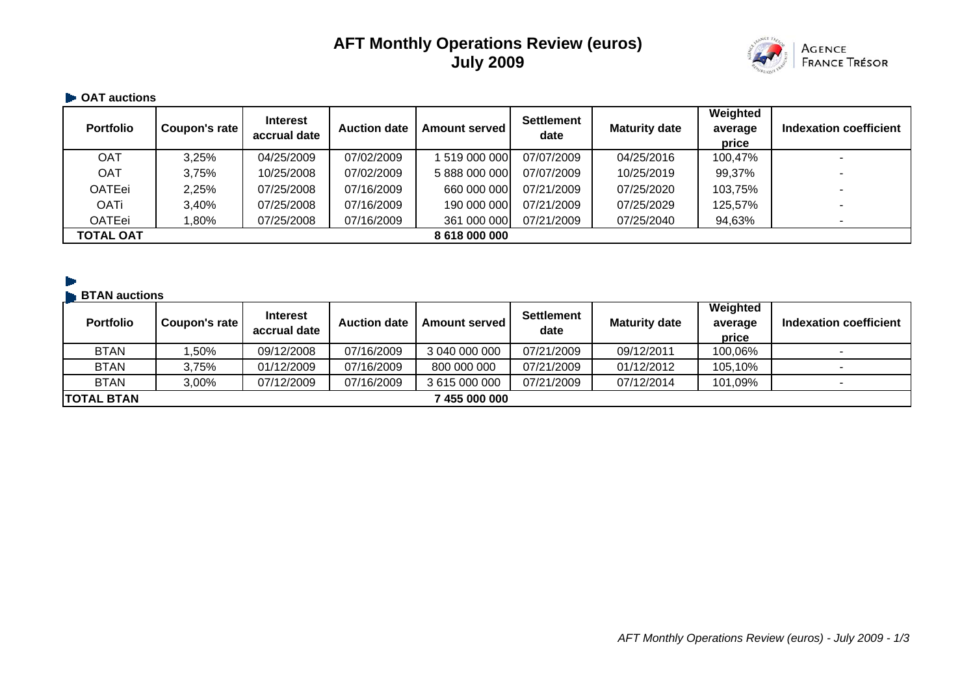# **AFT Monthly Operations Review (euros) July 2009**



## $\blacksquare$  **OAT auctions**

| <b>Portfolio</b> | Coupon's rate | <b>Interest</b><br>accrual date | <b>Auction date</b> | <b>Amount served</b> | <b>Settlement</b><br>date | <b>Maturity date</b> | Weighted<br>average<br>price | Indexation coefficient |
|------------------|---------------|---------------------------------|---------------------|----------------------|---------------------------|----------------------|------------------------------|------------------------|
| OAT              | 3,25%         | 04/25/2009                      | 07/02/2009          | 1 519 000 000        | 07/07/2009                | 04/25/2016           | 100,47%                      |                        |
| OAT              | 3,75%         | 10/25/2008                      | 07/02/2009          | 5 888 000 000        | 07/07/2009                | 10/25/2019           | 99,37%                       |                        |
| <b>OATEei</b>    | 2,25%         | 07/25/2008                      | 07/16/2009          | 660 000 000          | 07/21/2009                | 07/25/2020           | 103,75%                      |                        |
| <b>OATi</b>      | 3,40%         | 07/25/2008                      | 07/16/2009          | 190 000 000          | 07/21/2009                | 07/25/2029           | 125,57%                      |                        |
| <b>OATEei</b>    | 1,80%         | 07/25/2008                      | 07/16/2009          | 361 000 000          | 07/21/2009                | 07/25/2040           | 94,63%                       |                        |
| <b>TOTAL OAT</b> |               |                                 |                     | 8 618 000 000        |                           |                      |                              |                        |

### **BTAN auctions**

| <b>Portfolio</b>  | Coupon's rate | <b>Interest</b><br>accrual date | <b>Auction date</b> | <b>Amount served</b> | <b>Settlement</b><br>date | <b>Maturity date</b> | Weighted<br>average<br>price | Indexation coefficient |
|-------------------|---------------|---------------------------------|---------------------|----------------------|---------------------------|----------------------|------------------------------|------------------------|
| <b>BTAN</b>       | .50%          | 09/12/2008                      | 07/16/2009          | 3 040 000 000        | 07/21/2009                | 09/12/2011           | 100,06%                      |                        |
| <b>BTAN</b>       | 3,75%         | 01/12/2009                      | 07/16/2009          | 800 000 000          | 07/21/2009                | 01/12/2012           | 105,10%                      |                        |
| <b>BTAN</b>       | 3,00%         | 07/12/2009                      | 07/16/2009          | 3 615 000 000        | 07/21/2009                | 07/12/2014           | 101,09%                      |                        |
| <b>TOTAL BTAN</b> |               |                                 |                     | 7 455 000 000        |                           |                      |                              |                        |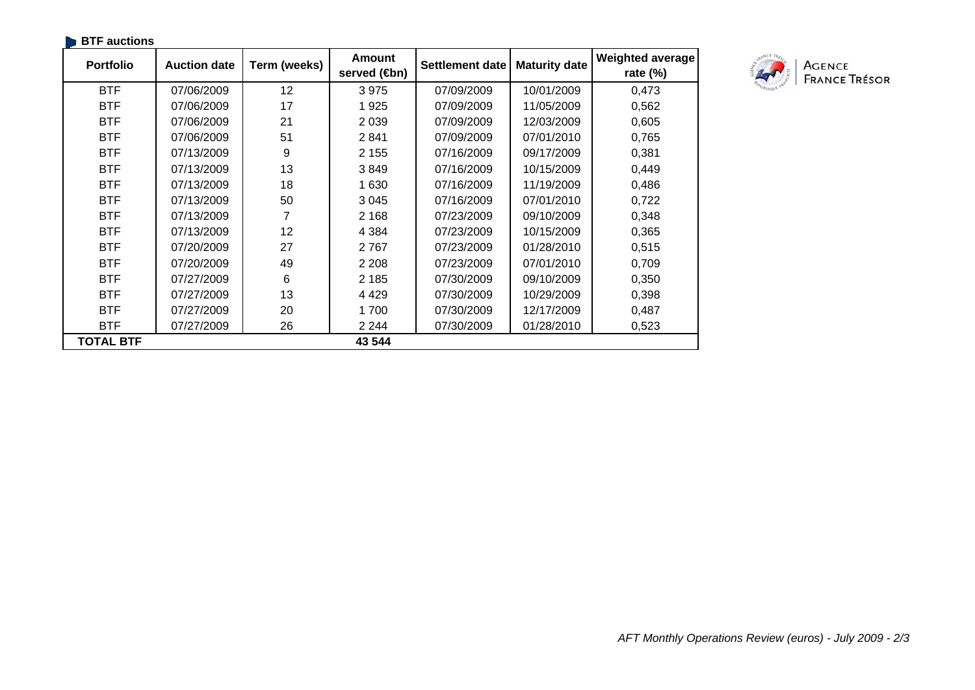| <b>BTF</b> auctions |                     |              |                              |                        |                      |                                 |
|---------------------|---------------------|--------------|------------------------------|------------------------|----------------------|---------------------------------|
| <b>Portfolio</b>    | <b>Auction date</b> | Term (weeks) | <b>Amount</b><br>served (sm) | <b>Settlement date</b> | <b>Maturity date</b> | Weighted average<br>rate $(\%)$ |
| <b>BTF</b>          | 07/06/2009          | 12           | 3975                         | 07/09/2009             | 10/01/2009           | 0,473                           |
| <b>BTF</b>          | 07/06/2009          | 17           | 1925                         | 07/09/2009             | 11/05/2009           | 0,562                           |
| <b>BTF</b>          | 07/06/2009          | 21           | 2 0 3 9                      | 07/09/2009             | 12/03/2009           | 0,605                           |
| <b>BTF</b>          | 07/06/2009          | 51           | 2841                         | 07/09/2009             | 07/01/2010           | 0,765                           |
| <b>BTF</b>          | 07/13/2009          | 9            | 2 1 5 5                      | 07/16/2009             | 09/17/2009           | 0,381                           |
| <b>BTF</b>          | 07/13/2009          | 13           | 3849                         | 07/16/2009             | 10/15/2009           | 0,449                           |
| <b>BTF</b>          | 07/13/2009          | 18           | 1 6 3 0                      | 07/16/2009             | 11/19/2009           | 0,486                           |
| <b>BTF</b>          | 07/13/2009          | 50           | 3 0 4 5                      | 07/16/2009             | 07/01/2010           | 0,722                           |
| <b>BTF</b>          | 07/13/2009          | 7            | 2 1 6 8                      | 07/23/2009             | 09/10/2009           | 0,348                           |
| <b>BTF</b>          | 07/13/2009          | 12           | 4 3 8 4                      | 07/23/2009             | 10/15/2009           | 0,365                           |
| <b>BTF</b>          | 07/20/2009          | 27           | 2767                         | 07/23/2009             | 01/28/2010           | 0,515                           |
| <b>BTF</b>          | 07/20/2009          | 49           | 2 2 0 8                      | 07/23/2009             | 07/01/2010           | 0,709                           |
| <b>BTF</b>          | 07/27/2009          | 6            | 2 1 8 5                      | 07/30/2009             | 09/10/2009           | 0,350                           |
| <b>BTF</b>          | 07/27/2009          | 13           | 4 4 2 9                      | 07/30/2009             | 10/29/2009           | 0,398                           |
| <b>BTF</b>          | 07/27/2009          | 20           | 1700                         | 07/30/2009             | 12/17/2009           | 0,487                           |
| <b>BTF</b>          | 07/27/2009          | 26           | 2 2 4 4                      | 07/30/2009             | 01/28/2010           | 0,523                           |
| <b>TOTAL BTF</b>    |                     |              | 43 544                       |                        |                      |                                 |